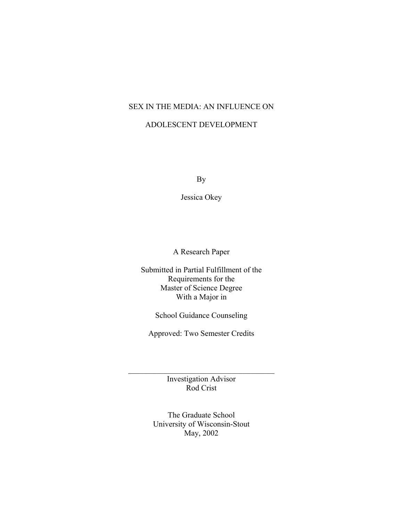# SEX IN THE MEDIA: AN INFLUENCE ON

## ADOLESCENT DEVELOPMENT

By

Jessica Okey

A Research Paper

Submitted in Partial Fulfillment of the Requirements for the Master of Science Degree With a Major in

School Guidance Counseling

Approved: Two Semester Credits

Investigation Advisor Rod Crist

 $\mathcal{L}_\text{max}$  and  $\mathcal{L}_\text{max}$  and  $\mathcal{L}_\text{max}$  and  $\mathcal{L}_\text{max}$ 

The Graduate School University of Wisconsin-Stout May, 2002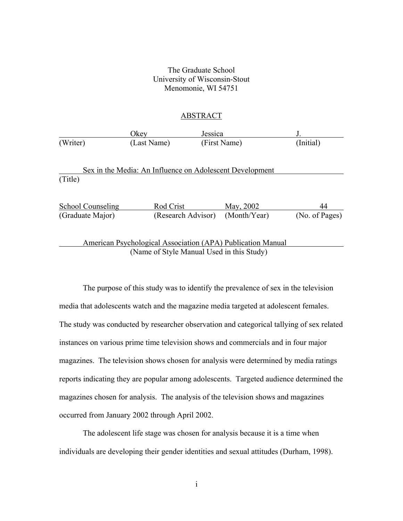#### The Graduate School University of Wisconsin-Stout Menomonie, WI 54751

#### ABSTRACT

|          | Jkev        | Jessica      |           |
|----------|-------------|--------------|-----------|
| (Writer) | (Last Name) | (First Name) | (Initial) |

Sex in the Media: An Influence on Adolescent Development (Title)

| <b>School Counseling</b> | Rod Crist                                                   | May, 2002    | 44             |
|--------------------------|-------------------------------------------------------------|--------------|----------------|
| (Graduate Major)         | (Research Advisor)                                          | (Month/Year) | (No. of Pages) |
|                          |                                                             |              |                |
|                          | American Psychological Association (APA) Publication Manual |              |                |
|                          | (Name of Style Manual Used in this Study)                   |              |                |

The purpose of this study was to identify the prevalence of sex in the television media that adolescents watch and the magazine media targeted at adolescent females. The study was conducted by researcher observation and categorical tallying of sex related instances on various prime time television shows and commercials and in four major magazines. The television shows chosen for analysis were determined by media ratings reports indicating they are popular among adolescents. Targeted audience determined the magazines chosen for analysis. The analysis of the television shows and magazines occurred from January 2002 through April 2002.

The adolescent life stage was chosen for analysis because it is a time when individuals are developing their gender identities and sexual attitudes (Durham, 1998).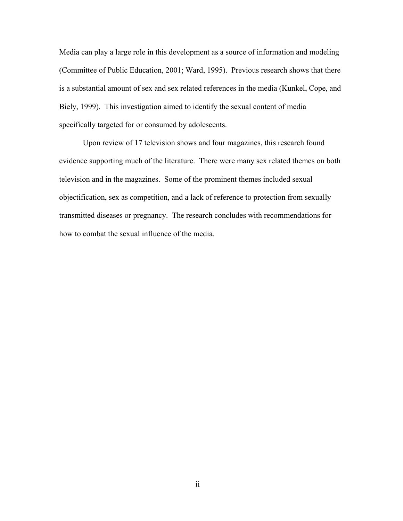Media can play a large role in this development as a source of information and modeling (Committee of Public Education, 2001; Ward, 1995). Previous research shows that there is a substantial amount of sex and sex related references in the media (Kunkel, Cope, and Biely, 1999). This investigation aimed to identify the sexual content of media specifically targeted for or consumed by adolescents.

Upon review of 17 television shows and four magazines, this research found evidence supporting much of the literature. There were many sex related themes on both television and in the magazines. Some of the prominent themes included sexual objectification, sex as competition, and a lack of reference to protection from sexually transmitted diseases or pregnancy. The research concludes with recommendations for how to combat the sexual influence of the media.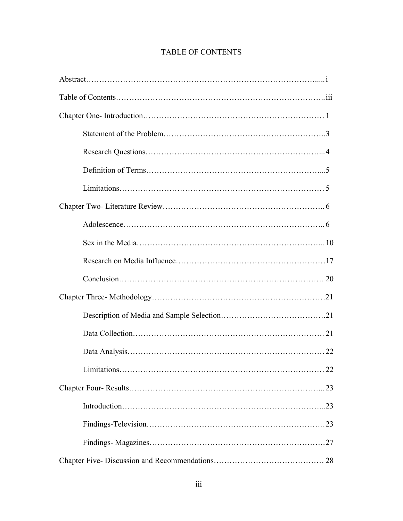# TABLE OF CONTENTS

| . 22 |  |
|------|--|
|      |  |
|      |  |
|      |  |
|      |  |
|      |  |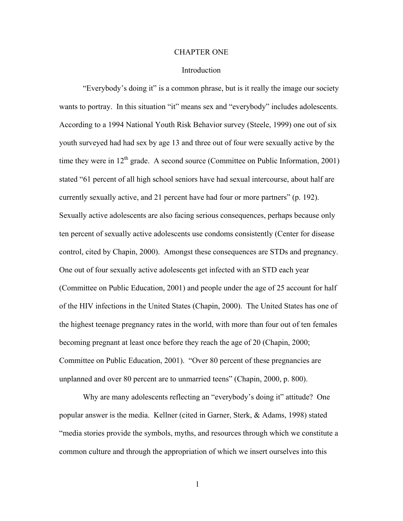#### CHAPTER ONE

#### Introduction

"Everybody's doing it" is a common phrase, but is it really the image our society wants to portray. In this situation "it" means sex and "everybody" includes adolescents. According to a 1994 National Youth Risk Behavior survey (Steele, 1999) one out of six youth surveyed had had sex by age 13 and three out of four were sexually active by the time they were in  $12<sup>th</sup>$  grade. A second source (Committee on Public Information, 2001) stated "61 percent of all high school seniors have had sexual intercourse, about half are currently sexually active, and 21 percent have had four or more partners" (p. 192). Sexually active adolescents are also facing serious consequences, perhaps because only ten percent of sexually active adolescents use condoms consistently (Center for disease control, cited by Chapin, 2000). Amongst these consequences are STDs and pregnancy. One out of four sexually active adolescents get infected with an STD each year (Committee on Public Education, 2001) and people under the age of 25 account for half of the HIV infections in the United States (Chapin, 2000). The United States has one of the highest teenage pregnancy rates in the world, with more than four out of ten females becoming pregnant at least once before they reach the age of 20 (Chapin, 2000; Committee on Public Education, 2001). "Over 80 percent of these pregnancies are unplanned and over 80 percent are to unmarried teens" (Chapin, 2000, p. 800).

Why are many adolescents reflecting an "everybody's doing it" attitude? One popular answer is the media. Kellner (cited in Garner, Sterk, & Adams, 1998) stated "media stories provide the symbols, myths, and resources through which we constitute a common culture and through the appropriation of which we insert ourselves into this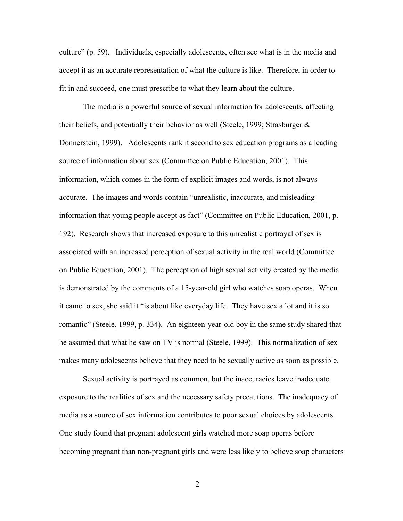culture" (p. 59). Individuals, especially adolescents, often see what is in the media and accept it as an accurate representation of what the culture is like. Therefore, in order to fit in and succeed, one must prescribe to what they learn about the culture.

The media is a powerful source of sexual information for adolescents, affecting their beliefs, and potentially their behavior as well (Steele, 1999; Strasburger & Donnerstein, 1999). Adolescents rank it second to sex education programs as a leading source of information about sex (Committee on Public Education, 2001). This information, which comes in the form of explicit images and words, is not always accurate. The images and words contain "unrealistic, inaccurate, and misleading information that young people accept as fact" (Committee on Public Education, 2001, p. 192). Research shows that increased exposure to this unrealistic portrayal of sex is associated with an increased perception of sexual activity in the real world (Committee on Public Education, 2001). The perception of high sexual activity created by the media is demonstrated by the comments of a 15-year-old girl who watches soap operas. When it came to sex, she said it "is about like everyday life. They have sex a lot and it is so romantic" (Steele, 1999, p. 334). An eighteen-year-old boy in the same study shared that he assumed that what he saw on TV is normal (Steele, 1999). This normalization of sex makes many adolescents believe that they need to be sexually active as soon as possible.

Sexual activity is portrayed as common, but the inaccuracies leave inadequate exposure to the realities of sex and the necessary safety precautions. The inadequacy of media as a source of sex information contributes to poor sexual choices by adolescents. One study found that pregnant adolescent girls watched more soap operas before becoming pregnant than non-pregnant girls and were less likely to believe soap characters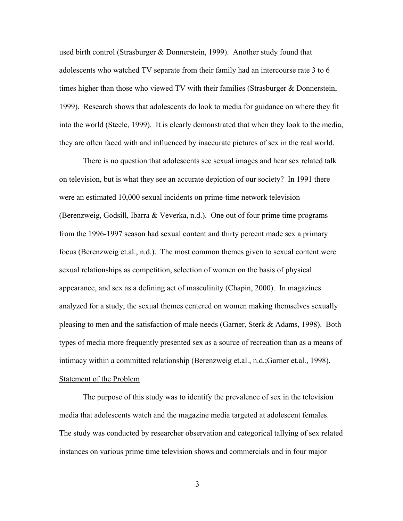used birth control (Strasburger & Donnerstein, 1999). Another study found that adolescents who watched TV separate from their family had an intercourse rate 3 to 6 times higher than those who viewed TV with their families (Strasburger & Donnerstein, 1999). Research shows that adolescents do look to media for guidance on where they fit into the world (Steele, 1999). It is clearly demonstrated that when they look to the media, they are often faced with and influenced by inaccurate pictures of sex in the real world.

There is no question that adolescents see sexual images and hear sex related talk on television, but is what they see an accurate depiction of our society? In 1991 there were an estimated 10,000 sexual incidents on prime-time network television (Berenzweig, Godsill, Ibarra & Veverka, n.d.). One out of four prime time programs from the 1996-1997 season had sexual content and thirty percent made sex a primary focus (Berenzweig et.al., n.d.). The most common themes given to sexual content were sexual relationships as competition, selection of women on the basis of physical appearance, and sex as a defining act of masculinity (Chapin, 2000). In magazines analyzed for a study, the sexual themes centered on women making themselves sexually pleasing to men and the satisfaction of male needs (Garner, Sterk & Adams, 1998). Both types of media more frequently presented sex as a source of recreation than as a means of intimacy within a committed relationship (Berenzweig et.al., n.d.;Garner et.al., 1998). Statement of the Problem

The purpose of this study was to identify the prevalence of sex in the television media that adolescents watch and the magazine media targeted at adolescent females. The study was conducted by researcher observation and categorical tallying of sex related instances on various prime time television shows and commercials and in four major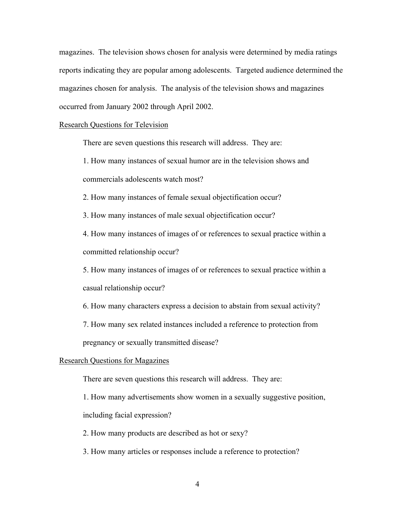magazines. The television shows chosen for analysis were determined by media ratings reports indicating they are popular among adolescents. Targeted audience determined the magazines chosen for analysis. The analysis of the television shows and magazines occurred from January 2002 through April 2002.

Research Questions for Television

There are seven questions this research will address. They are:

1. How many instances of sexual humor are in the television shows and commercials adolescents watch most?

2. How many instances of female sexual objectification occur?

3. How many instances of male sexual objectification occur?

4. How many instances of images of or references to sexual practice within a committed relationship occur?

5. How many instances of images of or references to sexual practice within a casual relationship occur?

6. How many characters express a decision to abstain from sexual activity?

7. How many sex related instances included a reference to protection from

pregnancy or sexually transmitted disease?

#### Research Questions for Magazines

There are seven questions this research will address. They are:

1. How many advertisements show women in a sexually suggestive position,

including facial expression?

2. How many products are described as hot or sexy?

3. How many articles or responses include a reference to protection?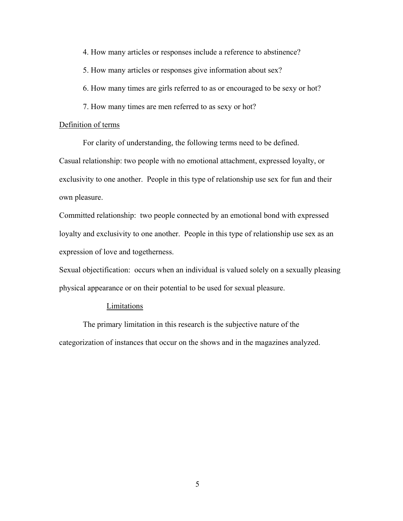4. How many articles or responses include a reference to abstinence?

5. How many articles or responses give information about sex?

6. How many times are girls referred to as or encouraged to be sexy or hot?

7. How many times are men referred to as sexy or hot?

#### Definition of terms

For clarity of understanding, the following terms need to be defined.

Casual relationship: two people with no emotional attachment, expressed loyalty, or exclusivity to one another. People in this type of relationship use sex for fun and their own pleasure.

Committed relationship: two people connected by an emotional bond with expressed loyalty and exclusivity to one another. People in this type of relationship use sex as an expression of love and togetherness.

Sexual objectification: occurs when an individual is valued solely on a sexually pleasing physical appearance or on their potential to be used for sexual pleasure.

#### Limitations

The primary limitation in this research is the subjective nature of the categorization of instances that occur on the shows and in the magazines analyzed.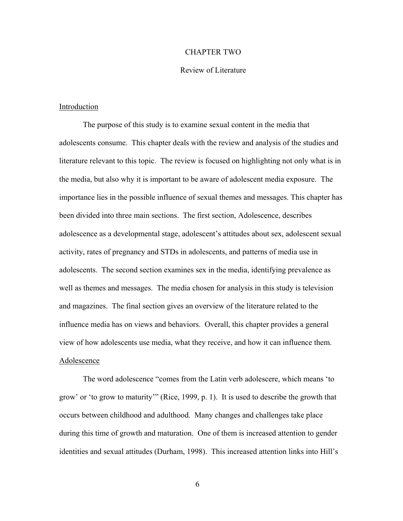#### CHAPTER TWO

#### Review of Literature

#### Introduction

The purpose of this study is to examine sexual content in the media that adolescents consume. This chapter deals with the review and analysis of the studies and literature relevant to this topic. The review is focused on highlighting not only what is in the media, but also why it is important to be aware of adolescent media exposure. The importance lies in the possible influence of sexual themes and messages. This chapter has been divided into three main sections. The first section, Adolescence, describes adolescence as a developmental stage, adolescent's attitudes about sex, adolescent sexual activity, rates of pregnancy and STDs in adolescents, and patterns of media use in adolescents. The second section examines sex in the media, identifying prevalence as well as themes and messages. The media chosen for analysis in this study is television and magazines. The final section gives an overview of the literature related to the influence media has on views and behaviors. Overall, this chapter provides a general view of how adolescents use media, what they receive, and how it can influence them. Adolescence

The word adolescence "comes from the Latin verb adolescere, which means 'to grow' or 'to grow to maturity'" (Rice, 1999, p. 1). It is used to describe the growth that occurs between childhood and adulthood. Many changes and challenges take place during this time of growth and maturation. One of them is increased attention to gender identities and sexual attitudes (Durham, 1998). This increased attention links into Hill's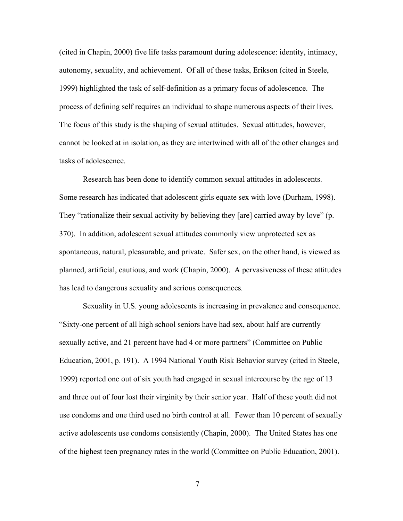(cited in Chapin, 2000) five life tasks paramount during adolescence: identity, intimacy, autonomy, sexuality, and achievement. Of all of these tasks, Erikson (cited in Steele, 1999) highlighted the task of self-definition as a primary focus of adolescence. The process of defining self requires an individual to shape numerous aspects of their lives. The focus of this study is the shaping of sexual attitudes. Sexual attitudes, however, cannot be looked at in isolation, as they are intertwined with all of the other changes and tasks of adolescence.

Research has been done to identify common sexual attitudes in adolescents. Some research has indicated that adolescent girls equate sex with love (Durham, 1998). They "rationalize their sexual activity by believing they [are] carried away by love" (p. 370). In addition, adolescent sexual attitudes commonly view unprotected sex as spontaneous, natural, pleasurable, and private. Safer sex, on the other hand, is viewed as planned, artificial, cautious, and work (Chapin, 2000). A pervasiveness of these attitudes has lead to dangerous sexuality and serious consequences*.* 

Sexuality in U.S. young adolescents is increasing in prevalence and consequence. "Sixty-one percent of all high school seniors have had sex, about half are currently sexually active, and 21 percent have had 4 or more partners" (Committee on Public Education, 2001, p. 191). A 1994 National Youth Risk Behavior survey (cited in Steele, 1999) reported one out of six youth had engaged in sexual intercourse by the age of 13 and three out of four lost their virginity by their senior year. Half of these youth did not use condoms and one third used no birth control at all. Fewer than 10 percent of sexually active adolescents use condoms consistently (Chapin, 2000). The United States has one of the highest teen pregnancy rates in the world (Committee on Public Education, 2001).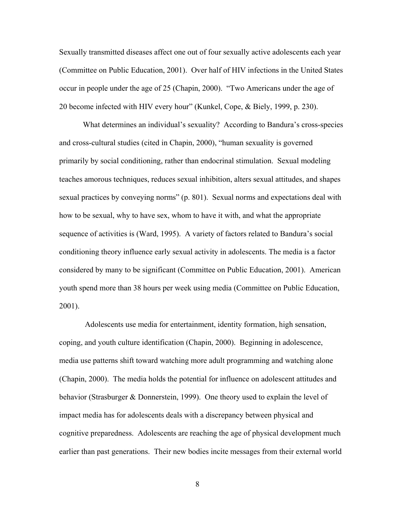Sexually transmitted diseases affect one out of four sexually active adolescents each year (Committee on Public Education, 2001). Over half of HIV infections in the United States occur in people under the age of 25 (Chapin, 2000). "Two Americans under the age of 20 become infected with HIV every hour" (Kunkel, Cope, & Biely, 1999, p. 230).

What determines an individual's sexuality? According to Bandura's cross-species and cross-cultural studies (cited in Chapin, 2000), "human sexuality is governed primarily by social conditioning, rather than endocrinal stimulation. Sexual modeling teaches amorous techniques, reduces sexual inhibition, alters sexual attitudes, and shapes sexual practices by conveying norms" (p. 801). Sexual norms and expectations deal with how to be sexual, why to have sex, whom to have it with, and what the appropriate sequence of activities is (Ward, 1995). A variety of factors related to Bandura's social conditioning theory influence early sexual activity in adolescents. The media is a factor considered by many to be significant (Committee on Public Education, 2001). American youth spend more than 38 hours per week using media (Committee on Public Education, 2001).

 Adolescents use media for entertainment, identity formation, high sensation, coping, and youth culture identification (Chapin, 2000). Beginning in adolescence, media use patterns shift toward watching more adult programming and watching alone (Chapin, 2000). The media holds the potential for influence on adolescent attitudes and behavior (Strasburger & Donnerstein, 1999). One theory used to explain the level of impact media has for adolescents deals with a discrepancy between physical and cognitive preparedness. Adolescents are reaching the age of physical development much earlier than past generations. Their new bodies incite messages from their external world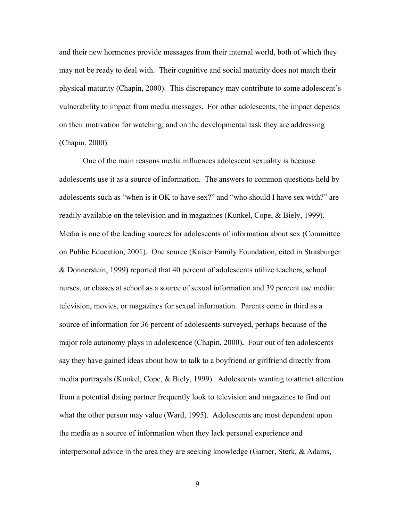and their new hormones provide messages from their internal world, both of which they may not be ready to deal with. Their cognitive and social maturity does not match their physical maturity (Chapin, 2000). This discrepancy may contribute to some adolescent's vulnerability to impact from media messages. For other adolescents, the impact depends on their motivation for watching, and on the developmental task they are addressing (Chapin, 2000).

One of the main reasons media influences adolescent sexuality is because adolescents use it as a source of information. The answers to common questions held by adolescents such as "when is it OK to have sex?" and "who should I have sex with?" are readily available on the television and in magazines (Kunkel, Cope, & Biely, 1999). Media is one of the leading sources for adolescents of information about sex (Committee on Public Education, 2001). One source (Kaiser Family Foundation, cited in Strasburger & Donnerstein, 1999) reported that 40 percent of adolescents utilize teachers, school nurses, or classes at school as a source of sexual information and 39 percent use media: television, movies, or magazines for sexual information. Parents come in third as a source of information for 36 percent of adolescents surveyed, perhaps because of the major role autonomy plays in adolescence (Chapin, 2000)**.** Four out of ten adolescents say they have gained ideas about how to talk to a boyfriend or girlfriend directly from media portrayals (Kunkel, Cope, & Biely, 1999). Adolescents wanting to attract attention from a potential dating partner frequently look to television and magazines to find out what the other person may value (Ward, 1995). Adolescents are most dependent upon the media as a source of information when they lack personal experience and interpersonal advice in the area they are seeking knowledge (Garner, Sterk, & Adams,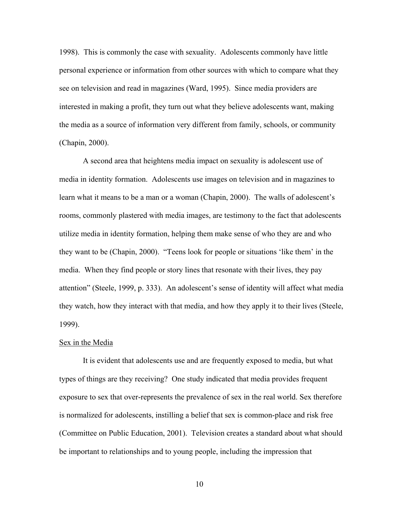1998). This is commonly the case with sexuality. Adolescents commonly have little personal experience or information from other sources with which to compare what they see on television and read in magazines (Ward, 1995). Since media providers are interested in making a profit, they turn out what they believe adolescents want, making the media as a source of information very different from family, schools, or community (Chapin, 2000).

A second area that heightens media impact on sexuality is adolescent use of media in identity formation. Adolescents use images on television and in magazines to learn what it means to be a man or a woman (Chapin, 2000). The walls of adolescent's rooms, commonly plastered with media images, are testimony to the fact that adolescents utilize media in identity formation, helping them make sense of who they are and who they want to be (Chapin, 2000). "Teens look for people or situations 'like them' in the media. When they find people or story lines that resonate with their lives, they pay attention" (Steele, 1999, p. 333). An adolescent's sense of identity will affect what media they watch, how they interact with that media, and how they apply it to their lives (Steele, 1999).

#### Sex in the Media

 It is evident that adolescents use and are frequently exposed to media, but what types of things are they receiving? One study indicated that media provides frequent exposure to sex that over-represents the prevalence of sex in the real world. Sex therefore is normalized for adolescents, instilling a belief that sex is common-place and risk free (Committee on Public Education, 2001). Television creates a standard about what should be important to relationships and to young people, including the impression that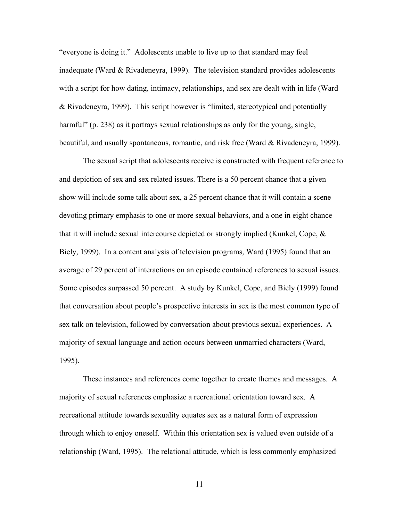"everyone is doing it." Adolescents unable to live up to that standard may feel inadequate (Ward & Rivadeneyra, 1999). The television standard provides adolescents with a script for how dating, intimacy, relationships, and sex are dealt with in life (Ward & Rivadeneyra, 1999). This script however is "limited, stereotypical and potentially harmful" (p. 238) as it portrays sexual relationships as only for the young, single, beautiful, and usually spontaneous, romantic, and risk free (Ward  $\&$  Rivadeneyra, 1999).

The sexual script that adolescents receive is constructed with frequent reference to and depiction of sex and sex related issues. There is a 50 percent chance that a given show will include some talk about sex, a 25 percent chance that it will contain a scene devoting primary emphasis to one or more sexual behaviors, and a one in eight chance that it will include sexual intercourse depicted or strongly implied (Kunkel, Cope, & Biely, 1999). In a content analysis of television programs, Ward (1995) found that an average of 29 percent of interactions on an episode contained references to sexual issues. Some episodes surpassed 50 percent. A study by Kunkel, Cope, and Biely (1999) found that conversation about people's prospective interests in sex is the most common type of sex talk on television, followed by conversation about previous sexual experiences. A majority of sexual language and action occurs between unmarried characters (Ward, 1995).

These instances and references come together to create themes and messages. A majority of sexual references emphasize a recreational orientation toward sex. A recreational attitude towards sexuality equates sex as a natural form of expression through which to enjoy oneself. Within this orientation sex is valued even outside of a relationship (Ward, 1995). The relational attitude, which is less commonly emphasized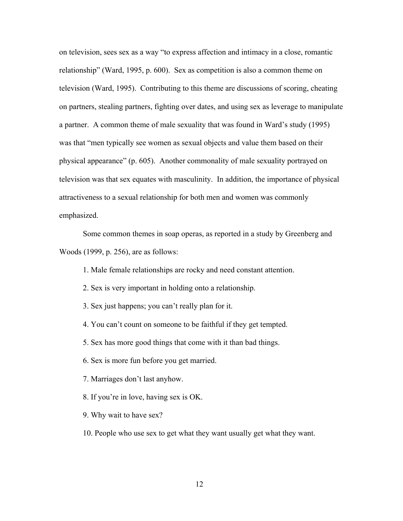on television, sees sex as a way "to express affection and intimacy in a close, romantic relationship" (Ward, 1995, p. 600). Sex as competition is also a common theme on television (Ward, 1995). Contributing to this theme are discussions of scoring, cheating on partners, stealing partners, fighting over dates, and using sex as leverage to manipulate a partner. A common theme of male sexuality that was found in Ward's study (1995) was that "men typically see women as sexual objects and value them based on their physical appearance" (p. 605). Another commonality of male sexuality portrayed on television was that sex equates with masculinity. In addition, the importance of physical attractiveness to a sexual relationship for both men and women was commonly emphasized.

Some common themes in soap operas, as reported in a study by Greenberg and Woods (1999, p. 256), are as follows:

- 1. Male female relationships are rocky and need constant attention.
- 2. Sex is very important in holding onto a relationship.
- 3. Sex just happens; you can't really plan for it.
- 4. You can't count on someone to be faithful if they get tempted.
- 5. Sex has more good things that come with it than bad things.
- 6. Sex is more fun before you get married.
- 7. Marriages don't last anyhow.
- 8. If you're in love, having sex is OK.
- 9. Why wait to have sex?
- 10. People who use sex to get what they want usually get what they want.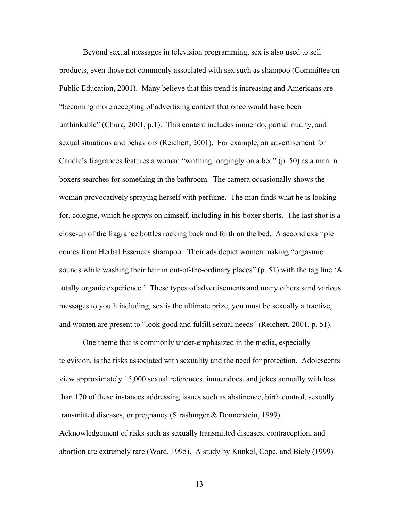Beyond sexual messages in television programming, sex is also used to sell products, even those not commonly associated with sex such as shampoo (Committee on Public Education, 2001). Many believe that this trend is increasing and Americans are "becoming more accepting of advertising content that once would have been unthinkable" (Chura, 2001, p.1). This content includes innuendo, partial nudity, and sexual situations and behaviors (Reichert, 2001). For example, an advertisement for Candle's fragrances features a woman "writhing longingly on a bed" (p. 50) as a man in boxers searches for something in the bathroom. The camera occasionally shows the woman provocatively spraying herself with perfume. The man finds what he is looking for, cologne, which he sprays on himself, including in his boxer shorts. The last shot is a close-up of the fragrance bottles rocking back and forth on the bed. A second example comes from Herbal Essences shampoo. Their ads depict women making "orgasmic sounds while washing their hair in out-of-the-ordinary places" (p. 51) with the tag line 'A totally organic experience.' These types of advertisements and many others send various messages to youth including, sex is the ultimate prize, you must be sexually attractive, and women are present to "look good and fulfill sexual needs" (Reichert, 2001, p. 51).

One theme that is commonly under-emphasized in the media, especially television, is the risks associated with sexuality and the need for protection. Adolescents view approximately 15,000 sexual references, innuendoes, and jokes annually with less than 170 of these instances addressing issues such as abstinence, birth control, sexually transmitted diseases, or pregnancy (Strasburger & Donnerstein, 1999). Acknowledgement of risks such as sexually transmitted diseases, contraception, and abortion are extremely rare (Ward, 1995). A study by Kunkel, Cope, and Biely (1999)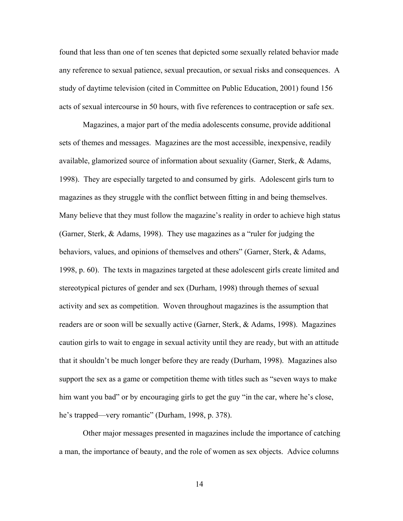found that less than one of ten scenes that depicted some sexually related behavior made any reference to sexual patience, sexual precaution, or sexual risks and consequences. A study of daytime television (cited in Committee on Public Education, 2001) found 156 acts of sexual intercourse in 50 hours, with five references to contraception or safe sex.

Magazines, a major part of the media adolescents consume, provide additional sets of themes and messages. Magazines are the most accessible, inexpensive, readily available, glamorized source of information about sexuality (Garner, Sterk, & Adams, 1998). They are especially targeted to and consumed by girls. Adolescent girls turn to magazines as they struggle with the conflict between fitting in and being themselves. Many believe that they must follow the magazine's reality in order to achieve high status (Garner, Sterk, & Adams, 1998). They use magazines as a "ruler for judging the behaviors, values, and opinions of themselves and others" (Garner, Sterk, & Adams, 1998, p. 60). The texts in magazines targeted at these adolescent girls create limited and stereotypical pictures of gender and sex (Durham, 1998) through themes of sexual activity and sex as competition. Woven throughout magazines is the assumption that readers are or soon will be sexually active (Garner, Sterk, & Adams, 1998). Magazines caution girls to wait to engage in sexual activity until they are ready, but with an attitude that it shouldn't be much longer before they are ready (Durham, 1998). Magazines also support the sex as a game or competition theme with titles such as "seven ways to make him want you bad" or by encouraging girls to get the guy "in the car, where he's close, he's trapped—very romantic" (Durham, 1998, p. 378).

Other major messages presented in magazines include the importance of catching a man, the importance of beauty, and the role of women as sex objects. Advice columns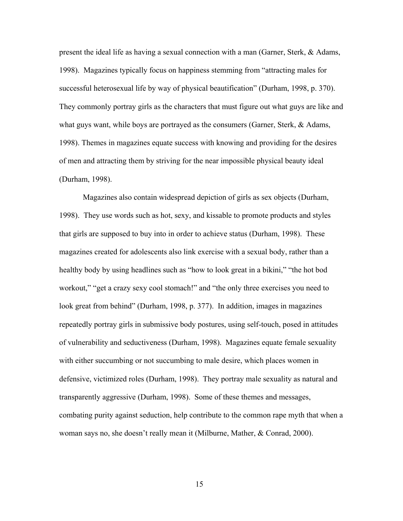present the ideal life as having a sexual connection with a man (Garner, Sterk, & Adams, 1998). Magazines typically focus on happiness stemming from "attracting males for successful heterosexual life by way of physical beautification" (Durham, 1998, p. 370). They commonly portray girls as the characters that must figure out what guys are like and what guys want, while boys are portrayed as the consumers (Garner, Sterk, & Adams, 1998). Themes in magazines equate success with knowing and providing for the desires of men and attracting them by striving for the near impossible physical beauty ideal (Durham, 1998).

Magazines also contain widespread depiction of girls as sex objects (Durham, 1998). They use words such as hot, sexy, and kissable to promote products and styles that girls are supposed to buy into in order to achieve status (Durham, 1998). These magazines created for adolescents also link exercise with a sexual body, rather than a healthy body by using headlines such as "how to look great in a bikini," "the hot bod workout," "get a crazy sexy cool stomach!" and "the only three exercises you need to look great from behind" (Durham, 1998, p. 377). In addition, images in magazines repeatedly portray girls in submissive body postures, using self-touch, posed in attitudes of vulnerability and seductiveness (Durham, 1998). Magazines equate female sexuality with either succumbing or not succumbing to male desire, which places women in defensive, victimized roles (Durham, 1998). They portray male sexuality as natural and transparently aggressive (Durham, 1998). Some of these themes and messages, combating purity against seduction, help contribute to the common rape myth that when a woman says no, she doesn't really mean it (Milburne, Mather, & Conrad, 2000).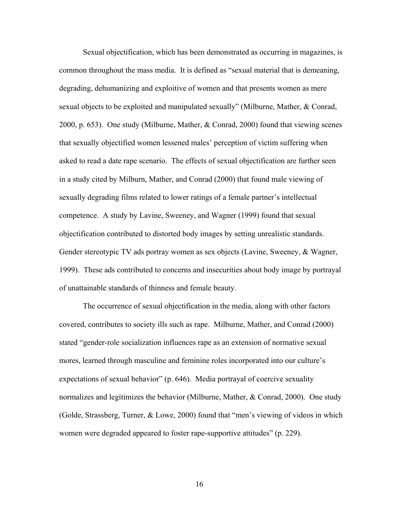Sexual objectification, which has been demonstrated as occurring in magazines, is common throughout the mass media. It is defined as "sexual material that is demeaning, degrading, dehumanizing and exploitive of women and that presents women as mere sexual objects to be exploited and manipulated sexually" (Milburne, Mather, & Conrad, 2000, p. 653). One study (Milburne, Mather, & Conrad, 2000) found that viewing scenes that sexually objectified women lessened males' perception of victim suffering when asked to read a date rape scenario. The effects of sexual objectification are further seen in a study cited by Milburn, Mather, and Conrad (2000) that found male viewing of sexually degrading films related to lower ratings of a female partner's intellectual competence. A study by Lavine, Sweeney, and Wagner (1999) found that sexual objectification contributed to distorted body images by setting unrealistic standards. Gender stereotypic TV ads portray women as sex objects (Lavine, Sweeney, & Wagner, 1999). These ads contributed to concerns and insecurities about body image by portrayal of unattainable standards of thinness and female beauty.

The occurrence of sexual objectification in the media, along with other factors covered, contributes to society ills such as rape. Milburne, Mather, and Conrad (2000) stated "gender-role socialization influences rape as an extension of normative sexual mores, learned through masculine and feminine roles incorporated into our culture's expectations of sexual behavior" (p. 646). Media portrayal of coercive sexuality normalizes and legitimizes the behavior (Milburne, Mather, & Conrad, 2000). One study (Golde, Strassberg, Turner, & Lowe, 2000) found that "men's viewing of videos in which women were degraded appeared to foster rape-supportive attitudes" (p. 229).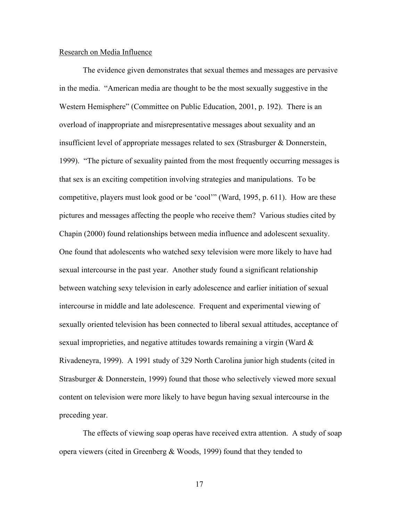#### Research on Media Influence

The evidence given demonstrates that sexual themes and messages are pervasive in the media. "American media are thought to be the most sexually suggestive in the Western Hemisphere" (Committee on Public Education, 2001, p. 192). There is an overload of inappropriate and misrepresentative messages about sexuality and an insufficient level of appropriate messages related to sex (Strasburger & Donnerstein, 1999). "The picture of sexuality painted from the most frequently occurring messages is that sex is an exciting competition involving strategies and manipulations. To be competitive, players must look good or be 'cool'" (Ward, 1995, p. 611). How are these pictures and messages affecting the people who receive them? Various studies cited by Chapin (2000) found relationships between media influence and adolescent sexuality. One found that adolescents who watched sexy television were more likely to have had sexual intercourse in the past year. Another study found a significant relationship between watching sexy television in early adolescence and earlier initiation of sexual intercourse in middle and late adolescence. Frequent and experimental viewing of sexually oriented television has been connected to liberal sexual attitudes, acceptance of sexual improprieties, and negative attitudes towards remaining a virgin (Ward  $\&$ Rivadeneyra, 1999). A 1991 study of 329 North Carolina junior high students (cited in Strasburger & Donnerstein, 1999) found that those who selectively viewed more sexual content on television were more likely to have begun having sexual intercourse in the preceding year.

The effects of viewing soap operas have received extra attention. A study of soap opera viewers (cited in Greenberg  $& Woods, 1999$ ) found that they tended to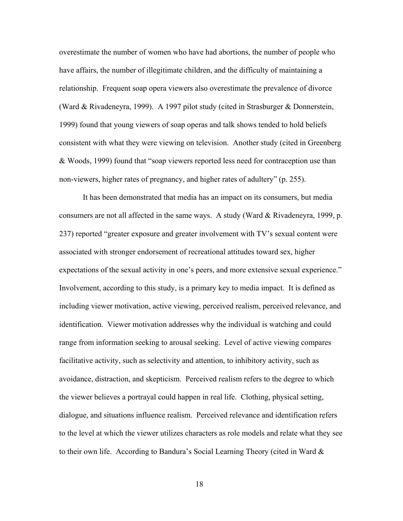overestimate the number of women who have had abortions, the number of people who have affairs, the number of illegitimate children, and the difficulty of maintaining a relationship. Frequent soap opera viewers also overestimate the prevalence of divorce (Ward & Rivadeneyra, 1999). A 1997 pilot study (cited in Strasburger & Donnerstein, 1999) found that young viewers of soap operas and talk shows tended to hold beliefs consistent with what they were viewing on television. Another study (cited in Greenberg & Woods, 1999) found that "soap viewers reported less need for contraception use than non-viewers, higher rates of pregnancy, and higher rates of adultery" (p. 255).

It has been demonstrated that media has an impact on its consumers, but media consumers are not all affected in the same ways. A study (Ward & Rivadeneyra, 1999, p. 237) reported "greater exposure and greater involvement with TV's sexual content were associated with stronger endorsement of recreational attitudes toward sex, higher expectations of the sexual activity in one's peers, and more extensive sexual experience." Involvement, according to this study, is a primary key to media impact. It is defined as including viewer motivation, active viewing, perceived realism, perceived relevance, and identification. Viewer motivation addresses why the individual is watching and could range from information seeking to arousal seeking. Level of active viewing compares facilitative activity, such as selectivity and attention, to inhibitory activity, such as avoidance, distraction, and skepticism. Perceived realism refers to the degree to which the viewer believes a portrayal could happen in real life. Clothing, physical setting, dialogue, and situations influence realism. Perceived relevance and identification refers to the level at which the viewer utilizes characters as role models and relate what they see to their own life. According to Bandura's Social Learning Theory (cited in Ward &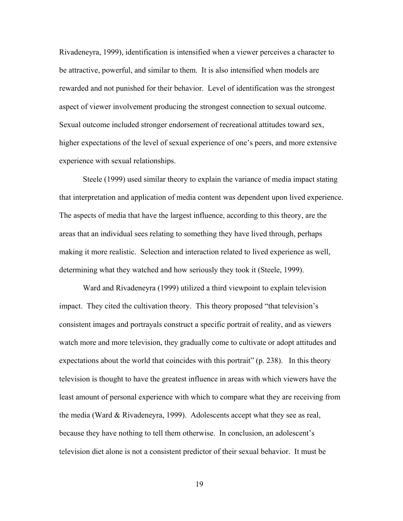Rivadeneyra, 1999), identification is intensified when a viewer perceives a character to be attractive, powerful, and similar to them. It is also intensified when models are rewarded and not punished for their behavior. Level of identification was the strongest aspect of viewer involvement producing the strongest connection to sexual outcome. Sexual outcome included stronger endorsement of recreational attitudes toward sex, higher expectations of the level of sexual experience of one's peers, and more extensive experience with sexual relationships.

Steele (1999) used similar theory to explain the variance of media impact stating that interpretation and application of media content was dependent upon lived experience. The aspects of media that have the largest influence, according to this theory, are the areas that an individual sees relating to something they have lived through, perhaps making it more realistic. Selection and interaction related to lived experience as well, determining what they watched and how seriously they took it (Steele, 1999).

Ward and Rivadeneyra (1999) utilized a third viewpoint to explain television impact. They cited the cultivation theory. This theory proposed "that television's consistent images and portrayals construct a specific portrait of reality, and as viewers watch more and more television, they gradually come to cultivate or adopt attitudes and expectations about the world that coincides with this portrait" (p. 238). In this theory television is thought to have the greatest influence in areas with which viewers have the least amount of personal experience with which to compare what they are receiving from the media (Ward & Rivadeneyra, 1999). Adolescents accept what they see as real, because they have nothing to tell them otherwise. In conclusion, an adolescent's television diet alone is not a consistent predictor of their sexual behavior. It must be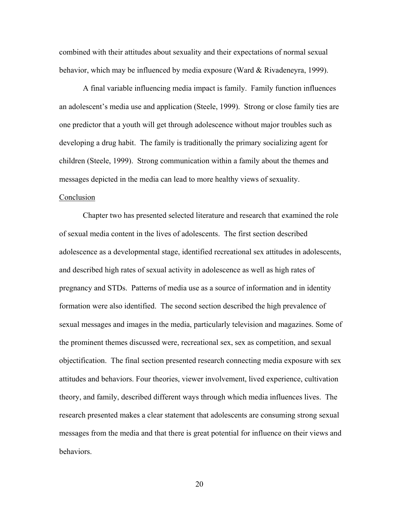combined with their attitudes about sexuality and their expectations of normal sexual behavior, which may be influenced by media exposure (Ward & Rivadeneyra, 1999).

A final variable influencing media impact is family. Family function influences an adolescent's media use and application (Steele, 1999). Strong or close family ties are one predictor that a youth will get through adolescence without major troubles such as developing a drug habit. The family is traditionally the primary socializing agent for children (Steele, 1999). Strong communication within a family about the themes and messages depicted in the media can lead to more healthy views of sexuality.

#### Conclusion

 Chapter two has presented selected literature and research that examined the role of sexual media content in the lives of adolescents. The first section described adolescence as a developmental stage, identified recreational sex attitudes in adolescents, and described high rates of sexual activity in adolescence as well as high rates of pregnancy and STDs. Patterns of media use as a source of information and in identity formation were also identified. The second section described the high prevalence of sexual messages and images in the media, particularly television and magazines. Some of the prominent themes discussed were, recreational sex, sex as competition, and sexual objectification. The final section presented research connecting media exposure with sex attitudes and behaviors. Four theories, viewer involvement, lived experience, cultivation theory, and family, described different ways through which media influences lives. The research presented makes a clear statement that adolescents are consuming strong sexual messages from the media and that there is great potential for influence on their views and behaviors.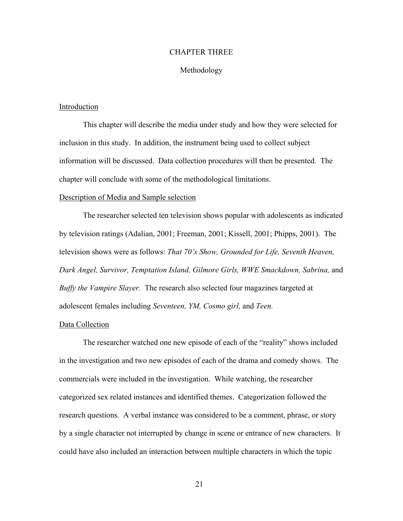#### CHAPTER THREE

#### Methodology

#### Introduction

This chapter will describe the media under study and how they were selected for inclusion in this study. In addition, the instrument being used to collect subject information will be discussed. Data collection procedures will then be presented. The chapter will conclude with some of the methodological limitations.

#### Description of Media and Sample selection

The researcher selected ten television shows popular with adolescents as indicated by television ratings (Adalian, 2001; Freeman, 2001; Kissell, 2001; Phipps, 2001). The television shows were as follows: *That 70's Show, Grounded for Life, Seventh Heaven,*  Dark Angel, Survivor, Temptation Island, Gilmore Girls, WWE Smackdown, Sabrina, and *Buffy the Vampire Slayer.* The research also selected four magazines targeted at adolescent females including *Seventeen, YM, Cosmo girl,* and *Teen.* 

#### Data Collection

The researcher watched one new episode of each of the "reality" shows included in the investigation and two new episodes of each of the drama and comedy shows. The commercials were included in the investigation. While watching, the researcher categorized sex related instances and identified themes. Categorization followed the research questions. A verbal instance was considered to be a comment, phrase, or story by a single character not interrupted by change in scene or entrance of new characters. It could have also included an interaction between multiple characters in which the topic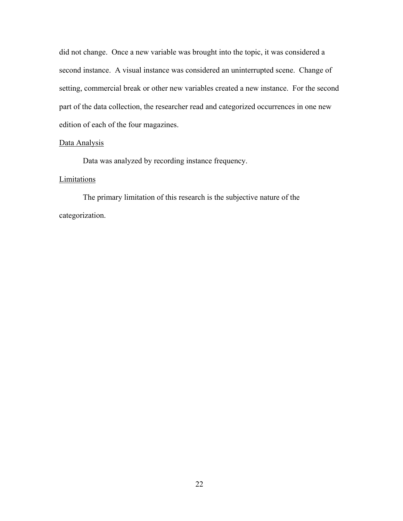did not change. Once a new variable was brought into the topic, it was considered a second instance. A visual instance was considered an uninterrupted scene. Change of setting, commercial break or other new variables created a new instance. For the second part of the data collection, the researcher read and categorized occurrences in one new edition of each of the four magazines.

#### Data Analysis

Data was analyzed by recording instance frequency.

### **Limitations**

The primary limitation of this research is the subjective nature of the categorization.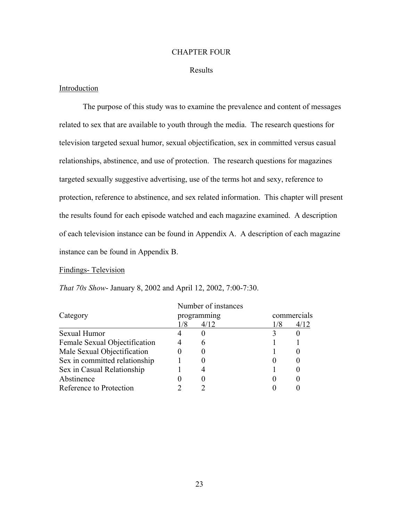#### CHAPTER FOUR

#### Results

#### Introduction

The purpose of this study was to examine the prevalence and content of messages related to sex that are available to youth through the media. The research questions for television targeted sexual humor, sexual objectification, sex in committed versus casual relationships, abstinence, and use of protection. The research questions for magazines targeted sexually suggestive advertising, use of the terms hot and sexy, reference to protection, reference to abstinence, and sex related information. This chapter will present the results found for each episode watched and each magazine examined. A description of each television instance can be found in Appendix A. A description of each magazine instance can be found in Appendix B.

#### Findings- Television

|                               | Number of instances |             |     |             |  |  |
|-------------------------------|---------------------|-------------|-----|-------------|--|--|
| Category                      |                     | programming |     | commercials |  |  |
|                               | 1/8                 | 4/12        | 1/8 | 4/12        |  |  |
| Sexual Humor                  |                     |             |     |             |  |  |
| Female Sexual Objectification |                     |             |     |             |  |  |
| Male Sexual Objectification   |                     |             |     |             |  |  |
| Sex in committed relationship |                     |             |     |             |  |  |
| Sex in Casual Relationship    |                     |             |     |             |  |  |
| Abstinence                    |                     |             |     |             |  |  |
| Reference to Protection       |                     |             |     |             |  |  |

*That 70s Show*- January 8, 2002 and April 12, 2002, 7:00-7:30.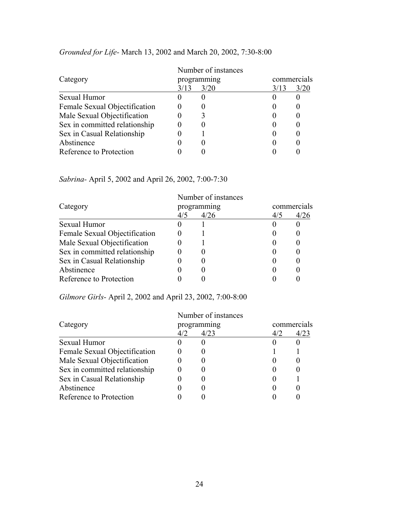|                               | Number of instances |      |      |             |  |  |
|-------------------------------|---------------------|------|------|-------------|--|--|
| Category                      | programming         |      |      | commercials |  |  |
|                               | 3/13                | 3/20 | 3/13 | 3/20        |  |  |
| Sexual Humor                  |                     |      |      |             |  |  |
| Female Sexual Objectification |                     |      |      |             |  |  |
| Male Sexual Objectification   |                     |      |      |             |  |  |
| Sex in committed relationship |                     |      |      |             |  |  |
| Sex in Casual Relationship    |                     |      |      |             |  |  |
| Abstinence                    |                     |      |      |             |  |  |
| Reference to Protection       |                     |      |      |             |  |  |

# *Grounded for Life-* March 13, 2002 and March 20, 2002, 7:30-8:00

*Sabrina-* April 5, 2002 and April 26, 2002, 7:00-7:30

|                               | Number of instances |             |             |      |  |  |
|-------------------------------|---------------------|-------------|-------------|------|--|--|
| Category                      |                     | programming | commercials |      |  |  |
|                               | 4/5                 | 4/26        | 4/5         | 4/26 |  |  |
| Sexual Humor                  |                     |             |             |      |  |  |
| Female Sexual Objectification |                     |             |             |      |  |  |
| Male Sexual Objectification   |                     |             |             |      |  |  |
| Sex in committed relationship |                     |             |             |      |  |  |
| Sex in Casual Relationship    |                     |             |             |      |  |  |
| Abstinence                    |                     |             |             |      |  |  |
| Reference to Protection       |                     |             |             |      |  |  |

*Gilmore Girls-* April 2, 2002 and April 23, 2002, 7:00-8:00

|                               | Number of instances |             |     |             |  |  |
|-------------------------------|---------------------|-------------|-----|-------------|--|--|
| Category                      |                     | programming |     | commercials |  |  |
|                               | 4/2                 | 4/23        | 4/2 | 4/23        |  |  |
| Sexual Humor                  |                     |             |     |             |  |  |
| Female Sexual Objectification |                     |             |     |             |  |  |
| Male Sexual Objectification   |                     |             |     |             |  |  |
| Sex in committed relationship |                     |             |     |             |  |  |
| Sex in Casual Relationship    |                     |             |     |             |  |  |
| Abstinence                    |                     |             |     |             |  |  |
| Reference to Protection       |                     |             |     |             |  |  |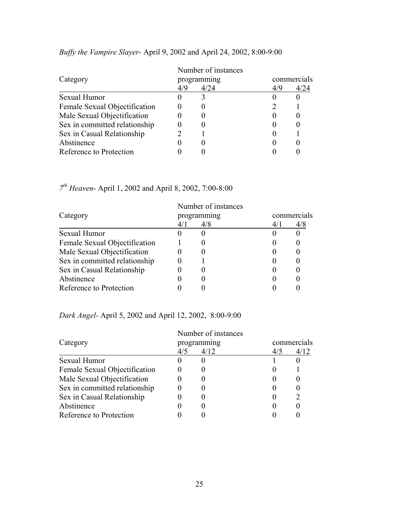|                               | Number of instances |      |     |             |  |  |
|-------------------------------|---------------------|------|-----|-------------|--|--|
| Category                      | programming         |      |     | commercials |  |  |
|                               | 4/9                 | 4/24 | 4/9 | 4/24        |  |  |
| Sexual Humor                  |                     |      |     |             |  |  |
| Female Sexual Objectification |                     |      |     |             |  |  |
| Male Sexual Objectification   |                     |      |     |             |  |  |
| Sex in committed relationship |                     |      |     |             |  |  |
| Sex in Casual Relationship    |                     |      |     |             |  |  |
| Abstinence                    |                     |      |     |             |  |  |
| Reference to Protection       |                     |      |     |             |  |  |

# *Buffy the Vampire Slayer-* April 9, 2002 and April 24, 2002, 8:00-9:00

*7th Heaven*- April 1, 2002 and April 8, 2002, 7:00-8:00

|                               | Number of instances |             |     |             |  |  |
|-------------------------------|---------------------|-------------|-----|-------------|--|--|
| Category                      |                     | programming |     | commercials |  |  |
|                               | 4/1                 | 4/8         | 4/1 | 4/8         |  |  |
| Sexual Humor                  |                     |             |     |             |  |  |
| Female Sexual Objectification |                     |             |     |             |  |  |
| Male Sexual Objectification   |                     |             |     |             |  |  |
| Sex in committed relationship |                     |             |     |             |  |  |
| Sex in Casual Relationship    |                     |             |     |             |  |  |
| Abstinence                    |                     |             |     |             |  |  |
| Reference to Protection       |                     |             |     |             |  |  |

# *Dark Angel-* April 5, 2002 and April 12, 2002, 8:00-9:00

|                               | Number of instances |             |     |                  |  |  |
|-------------------------------|---------------------|-------------|-----|------------------|--|--|
| Category                      |                     | programming |     | commercials      |  |  |
|                               | 4/5                 | 4/12        | 4/5 | 4/12             |  |  |
| Sexual Humor                  |                     |             |     |                  |  |  |
| Female Sexual Objectification |                     |             |     |                  |  |  |
| Male Sexual Objectification   |                     |             |     |                  |  |  |
| Sex in committed relationship |                     |             |     |                  |  |  |
| Sex in Casual Relationship    |                     |             |     | $\sum_{i=1}^{n}$ |  |  |
| Abstinence                    |                     |             |     |                  |  |  |
| Reference to Protection       |                     |             |     |                  |  |  |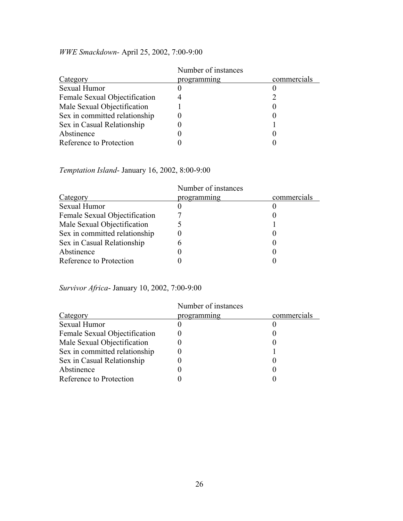|                               | Number of instances |             |  |  |
|-------------------------------|---------------------|-------------|--|--|
| Category                      | programming         | commercials |  |  |
| Sexual Humor                  |                     |             |  |  |
| Female Sexual Objectification |                     |             |  |  |
| Male Sexual Objectification   |                     |             |  |  |
| Sex in committed relationship |                     |             |  |  |
| Sex in Casual Relationship    |                     |             |  |  |
| Abstinence                    |                     |             |  |  |
| Reference to Protection       |                     |             |  |  |

# *WWE Smackdown-* April 25, 2002, 7:00-9:00

## *Temptation Island*- January 16, 2002, 8:00-9:00

|                               | Number of instances |             |
|-------------------------------|---------------------|-------------|
| Category                      | programming         | commercials |
| Sexual Humor                  |                     |             |
| Female Sexual Objectification |                     |             |
| Male Sexual Objectification   |                     |             |
| Sex in committed relationship |                     |             |
| Sex in Casual Relationship    | h                   |             |
| Abstinence                    |                     |             |
| Reference to Protection       |                     |             |

# *Survivor Africa*- January 10, 2002, 7:00-9:00

|                               | Number of instances |             |
|-------------------------------|---------------------|-------------|
| Category                      | programming         | commercials |
| Sexual Humor                  |                     |             |
| Female Sexual Objectification |                     |             |
| Male Sexual Objectification   |                     |             |
| Sex in committed relationship |                     |             |
| Sex in Casual Relationship    |                     |             |
| Abstinence                    |                     |             |
| Reference to Protection       |                     |             |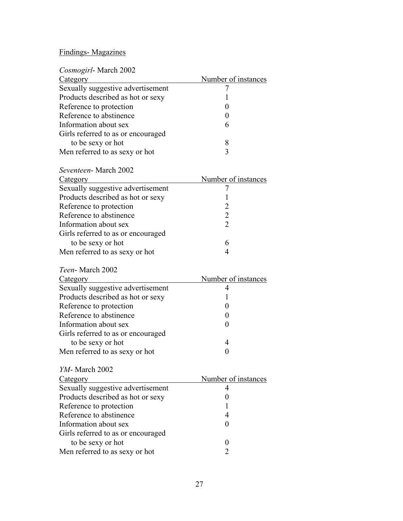# Findings- Magazines

| Cosmogirl-March 2002                                |                     |
|-----------------------------------------------------|---------------------|
| Category                                            | Number of instances |
| Sexually suggestive advertisement                   | 7                   |
| Products described as hot or sexy                   | 1                   |
| Reference to protection                             | 0                   |
| Reference to abstinence                             | $\boldsymbol{0}$    |
| Information about sex                               | 6                   |
| Girls referred to as or encouraged                  |                     |
| to be sexy or hot                                   | 8                   |
| Men referred to as sexy or hot                      | 3                   |
| Seventeen-March 2002                                |                     |
| <u>Category</u>                                     | Number of instances |
| Sexually suggestive advertisement                   | 7                   |
| Products described as hot or sexy                   | 1                   |
| Reference to protection                             | $\overline{2}$      |
| Reference to abstinence                             | $\overline{c}$      |
| Information about sex                               | $\overline{2}$      |
| Girls referred to as or encouraged                  |                     |
| to be sexy or hot                                   | 6                   |
| Men referred to as sexy or hot                      | 4                   |
|                                                     |                     |
| Teen-March 2002                                     |                     |
| <b>Category</b>                                     | Number of instances |
| Sexually suggestive advertisement                   | 4                   |
| Products described as hot or sexy                   | ı                   |
| Reference to protection                             | 0                   |
| Reference to abstinence                             | $\boldsymbol{0}$    |
| Information about sex                               | $\boldsymbol{0}$    |
| Girls referred to as or encouraged                  |                     |
| to be sexy or hot                                   | 4                   |
| Men referred to as sexy or hot                      | $\theta$            |
| YM-March 2002                                       |                     |
| <u>Category</u>                                     | Number of instances |
| Sexually suggestive advertisement                   | 4                   |
| Products described as hot or sexy                   | 0                   |
| Reference to protection                             | 1                   |
| Reference to abstinence                             | 4                   |
| Information about sex                               | $\theta$            |
| Girls referred to as or encouraged                  |                     |
| to be sexy or hot<br>Men referred to as sexy or hot | $\theta$<br>2       |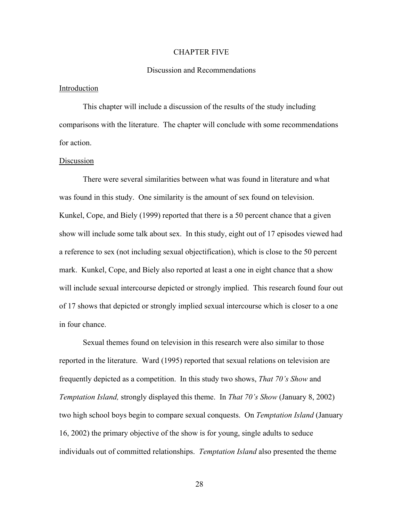#### CHAPTER FIVE

#### Discussion and Recommendations

#### Introduction

This chapter will include a discussion of the results of the study including comparisons with the literature. The chapter will conclude with some recommendations for action.

#### Discussion

There were several similarities between what was found in literature and what was found in this study. One similarity is the amount of sex found on television. Kunkel, Cope, and Biely (1999) reported that there is a 50 percent chance that a given show will include some talk about sex. In this study, eight out of 17 episodes viewed had a reference to sex (not including sexual objectification), which is close to the 50 percent mark. Kunkel, Cope, and Biely also reported at least a one in eight chance that a show will include sexual intercourse depicted or strongly implied. This research found four out of 17 shows that depicted or strongly implied sexual intercourse which is closer to a one in four chance.

Sexual themes found on television in this research were also similar to those reported in the literature. Ward (1995) reported that sexual relations on television are frequently depicted as a competition. In this study two shows, *That 70's Show* and *Temptation Island,* strongly displayed this theme. In *That 70's Show* (January 8, 2002) two high school boys begin to compare sexual conquests. On *Temptation Island* (January 16, 2002) the primary objective of the show is for young, single adults to seduce individuals out of committed relationships. *Temptation Island* also presented the theme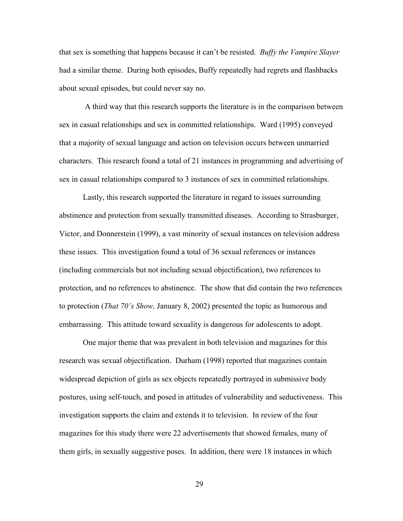that sex is something that happens because it can't be resisted. *Buffy the Vampire Slayer*  had a similar theme. During both episodes, Buffy repeatedly had regrets and flashbacks about sexual episodes, but could never say no.

 A third way that this research supports the literature is in the comparison between sex in casual relationships and sex in committed relationships. Ward (1995) conveyed that a majority of sexual language and action on television occurs between unmarried characters. This research found a total of 21 instances in programming and advertising of sex in casual relationships compared to 3 instances of sex in committed relationships.

Lastly, this research supported the literature in regard to issues surrounding abstinence and protection from sexually transmitted diseases. According to Strasburger, Victor, and Donnerstein (1999), a vast minority of sexual instances on television address these issues. This investigation found a total of 36 sexual references or instances (including commercials but not including sexual objectification), two references to protection, and no references to abstinence. The show that did contain the two references to protection (*That 70's Show,* January 8, 2002) presented the topic as humorous and embarrassing. This attitude toward sexuality is dangerous for adolescents to adopt.

One major theme that was prevalent in both television and magazines for this research was sexual objectification. Durham (1998) reported that magazines contain widespread depiction of girls as sex objects repeatedly portrayed in submissive body postures, using self-touch, and posed in attitudes of vulnerability and seductiveness. This investigation supports the claim and extends it to television. In review of the four magazines for this study there were 22 advertisements that showed females, many of them girls, in sexually suggestive poses. In addition, there were 18 instances in which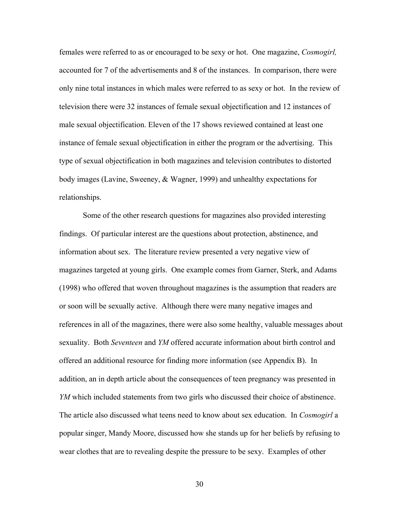females were referred to as or encouraged to be sexy or hot. One magazine, *Cosmogirl,* accounted for 7 of the advertisements and 8 of the instances. In comparison, there were only nine total instances in which males were referred to as sexy or hot. In the review of television there were 32 instances of female sexual objectification and 12 instances of male sexual objectification. Eleven of the 17 shows reviewed contained at least one instance of female sexual objectification in either the program or the advertising. This type of sexual objectification in both magazines and television contributes to distorted body images (Lavine, Sweeney, & Wagner, 1999) and unhealthy expectations for relationships.

Some of the other research questions for magazines also provided interesting findings. Of particular interest are the questions about protection, abstinence, and information about sex. The literature review presented a very negative view of magazines targeted at young girls. One example comes from Garner, Sterk, and Adams (1998) who offered that woven throughout magazines is the assumption that readers are or soon will be sexually active. Although there were many negative images and references in all of the magazines, there were also some healthy, valuable messages about sexuality. Both *Seventeen* and *YM* offered accurate information about birth control and offered an additional resource for finding more information (see Appendix B). In addition, an in depth article about the consequences of teen pregnancy was presented in *YM* which included statements from two girls who discussed their choice of abstinence. The article also discussed what teens need to know about sex education. In *Cosmogirl* a popular singer, Mandy Moore, discussed how she stands up for her beliefs by refusing to wear clothes that are to revealing despite the pressure to be sexy. Examples of other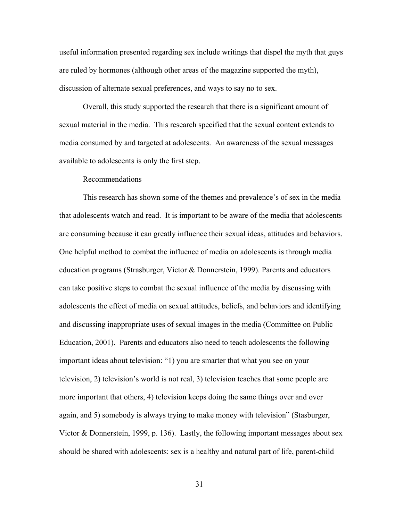useful information presented regarding sex include writings that dispel the myth that guys are ruled by hormones (although other areas of the magazine supported the myth), discussion of alternate sexual preferences, and ways to say no to sex.

Overall, this study supported the research that there is a significant amount of sexual material in the media. This research specified that the sexual content extends to media consumed by and targeted at adolescents. An awareness of the sexual messages available to adolescents is only the first step.

#### Recommendations

This research has shown some of the themes and prevalence's of sex in the media that adolescents watch and read. It is important to be aware of the media that adolescents are consuming because it can greatly influence their sexual ideas, attitudes and behaviors. One helpful method to combat the influence of media on adolescents is through media education programs (Strasburger, Victor & Donnerstein, 1999). Parents and educators can take positive steps to combat the sexual influence of the media by discussing with adolescents the effect of media on sexual attitudes, beliefs, and behaviors and identifying and discussing inappropriate uses of sexual images in the media (Committee on Public Education, 2001). Parents and educators also need to teach adolescents the following important ideas about television: "1) you are smarter that what you see on your television, 2) television's world is not real, 3) television teaches that some people are more important that others, 4) television keeps doing the same things over and over again, and 5) somebody is always trying to make money with television" (Stasburger, Victor & Donnerstein, 1999, p. 136). Lastly, the following important messages about sex should be shared with adolescents: sex is a healthy and natural part of life, parent-child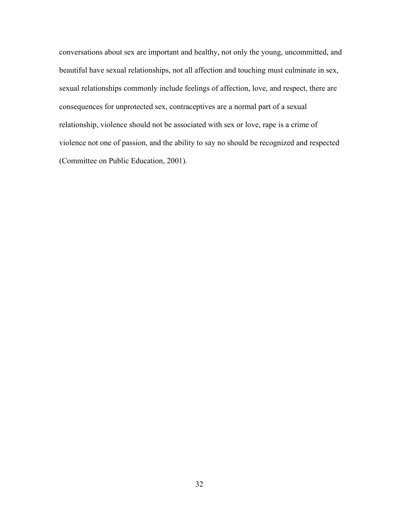conversations about sex are important and healthy, not only the young, uncommitted, and beautiful have sexual relationships, not all affection and touching must culminate in sex, sexual relationships commonly include feelings of affection, love, and respect, there are consequences for unprotected sex, contraceptives are a normal part of a sexual relationship, violence should not be associated with sex or love, rape is a crime of violence not one of passion, and the ability to say no should be recognized and respected (Committee on Public Education, 2001).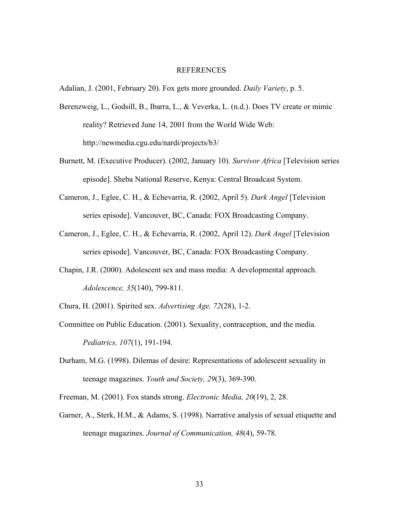#### REFERENCES

Adalian, J. (2001, February 20). Fox gets more grounded. *Daily Variety*, p. 5.

- Berenzweig, L., Godsill, B., Ibarra, L., & Veverka, L. (n.d.). Does TV create or mimic reality? Retrieved June 14, 2001 from the World Wide Web: http://newmedia.cgu.edu/nardi/projects/b3/
- Burnett, M. (Executive Producer). (2002, January 10). *Survivor Africa* [Television series episode]. Sheba National Reserve, Kenya: Central Broadcast System.
- Cameron, J., Eglee, C. H., & Echevarria, R. (2002, April 5). *Dark Angel* [Television series episode]. Vancouver, BC, Canada: FOX Broadcasting Company.
- Cameron, J., Eglee, C. H., & Echevarria, R. (2002, April 12). *Dark Angel* [Television series episode]. Vancouver, BC, Canada: FOX Broadcasting Company.
- Chapin, J.R. (2000). Adolescent sex and mass media: A developmental approach. *Adolescence, 35*(140), 799-811.
- Chura, H. (2001). Spirited sex. *Advertising Age, 72*(28), 1-2.
- Committee on Public Education. (2001). Sexuality, contraception, and the media. *Pediatrics, 107*(1), 191-194.
- Durham, M.G. (1998). Dilemas of desire: Representations of adolescent sexuality in teenage magazines. *Youth and Society, 29*(3), 369-390.
- Freeman, M. (2001). Fox stands strong. *Electronic Media, 20*(19), 2, 28.
- Garner, A., Sterk, H.M., & Adams, S. (1998). Narrative analysis of sexual etiquette and teenage magazines. *Journal of Communication, 48*(4), 59-78.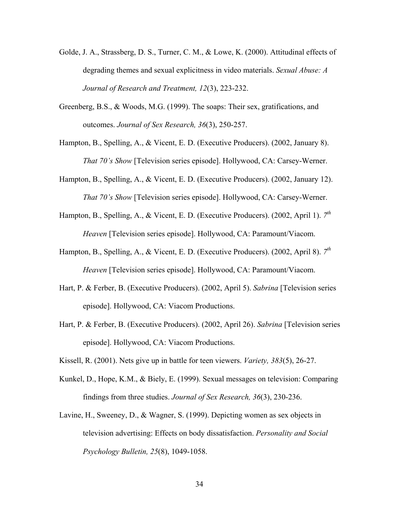- Golde, J. A., Strassberg, D. S., Turner, C. M., & Lowe, K. (2000). Attitudinal effects of degrading themes and sexual explicitness in video materials. *Sexual Abuse: A Journal of Research and Treatment, 12*(3), 223-232.
- Greenberg, B.S., & Woods, M.G. (1999). The soaps: Their sex, gratifications, and outcomes. *Journal of Sex Research, 36*(3), 250-257.
- Hampton, B., Spelling, A., & Vicent, E. D. (Executive Producers). (2002, January 8). *That 70's Show* [Television series episode]. Hollywood, CA: Carsey-Werner.
- Hampton, B., Spelling, A., & Vicent, E. D. (Executive Producers). (2002, January 12). *That 70's Show* [Television series episode]. Hollywood, CA: Carsey-Werner.
- Hampton, B., Spelling, A., & Vicent, E. D. (Executive Producers). (2002, April 1). *7th Heaven* [Television series episode]. Hollywood, CA: Paramount/Viacom.
- Hampton, B., Spelling, A., & Vicent, E. D. (Executive Producers). (2002, April 8). *7th Heaven* [Television series episode]. Hollywood, CA: Paramount/Viacom.
- Hart, P. & Ferber, B. (Executive Producers). (2002, April 5). *Sabrina* [Television series episode]. Hollywood, CA: Viacom Productions.
- Hart, P. & Ferber, B. (Executive Producers). (2002, April 26). *Sabrina* [Television series episode]. Hollywood, CA: Viacom Productions.
- Kissell, R. (2001). Nets give up in battle for teen viewers. *Variety, 383*(5), 26-27.
- Kunkel, D., Hope, K.M., & Biely, E. (1999). Sexual messages on television: Comparing findings from three studies. *Journal of Sex Research, 36*(3), 230-236.
- Lavine, H., Sweeney, D., & Wagner, S. (1999). Depicting women as sex objects in television advertising: Effects on body dissatisfaction. *Personality and Social Psychology Bulletin, 25*(8), 1049-1058.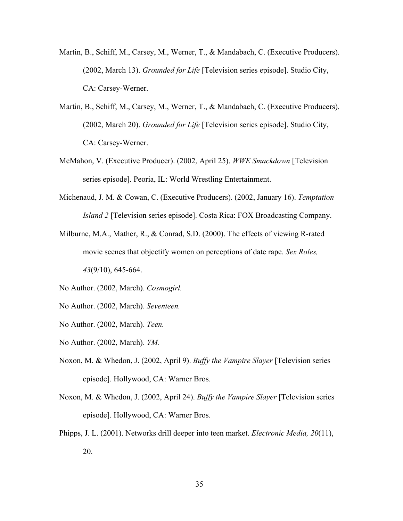- Martin, B., Schiff, M., Carsey, M., Werner, T., & Mandabach, C. (Executive Producers). (2002, March 13). *Grounded for Life* [Television series episode]. Studio City, CA: Carsey-Werner.
- Martin, B., Schiff, M., Carsey, M., Werner, T., & Mandabach, C. (Executive Producers). (2002, March 20). *Grounded for Life* [Television series episode]. Studio City, CA: Carsey-Werner.
- McMahon, V. (Executive Producer). (2002, April 25). *WWE Smackdown* [Television series episode]. Peoria, IL: World Wrestling Entertainment.
- Michenaud, J. M. & Cowan, C. (Executive Producers). (2002, January 16). *Temptation Island 2* [Television series episode]. Costa Rica: FOX Broadcasting Company.
- Milburne, M.A., Mather, R., & Conrad, S.D. (2000). The effects of viewing R-rated movie scenes that objectify women on perceptions of date rape. *Sex Roles, 43*(9/10), 645-664.
- No Author. (2002, March). *Cosmogirl.*
- No Author. (2002, March). *Seventeen.*
- No Author. (2002, March). *Teen.*
- No Author. (2002, March). *YM.*
- Noxon, M. & Whedon, J. (2002, April 9). *Buffy the Vampire Slayer* [Television series episode]. Hollywood, CA: Warner Bros.
- Noxon, M. & Whedon, J. (2002, April 24). *Buffy the Vampire Slayer* [Television series episode]. Hollywood, CA: Warner Bros.
- Phipps, J. L. (2001). Networks drill deeper into teen market. *Electronic Media, 20*(11), 20.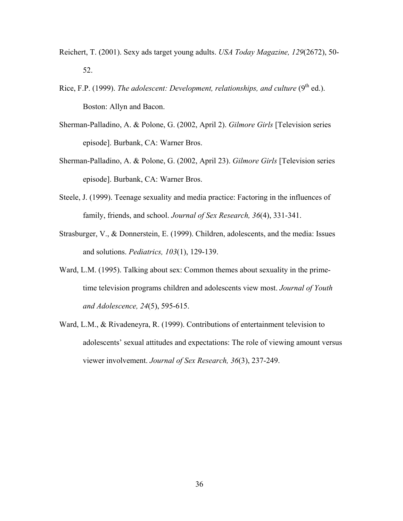- Reichert, T. (2001). Sexy ads target young adults. *USA Today Magazine, 129*(2672), 50- 52.
- Rice, F.P. (1999). *The adolescent: Development, relationships, and culture* (9<sup>th</sup> ed.). Boston: Allyn and Bacon.
- Sherman-Palladino, A. & Polone, G. (2002, April 2). *Gilmore Girls* [Television series episode]. Burbank, CA: Warner Bros.
- Sherman-Palladino, A. & Polone, G. (2002, April 23). *Gilmore Girls* [Television series episode]. Burbank, CA: Warner Bros.
- Steele, J. (1999). Teenage sexuality and media practice: Factoring in the influences of family, friends, and school. *Journal of Sex Research, 36*(4), 331-341.
- Strasburger, V., & Donnerstein, E. (1999). Children, adolescents, and the media: Issues and solutions. *Pediatrics, 103*(1), 129-139.
- Ward, L.M. (1995). Talking about sex: Common themes about sexuality in the primetime television programs children and adolescents view most. *Journal of Youth and Adolescence, 24*(5), 595-615.
- Ward, L.M., & Rivadeneyra, R. (1999). Contributions of entertainment television to adolescents' sexual attitudes and expectations: The role of viewing amount versus viewer involvement. *Journal of Sex Research, 36*(3), 237-249.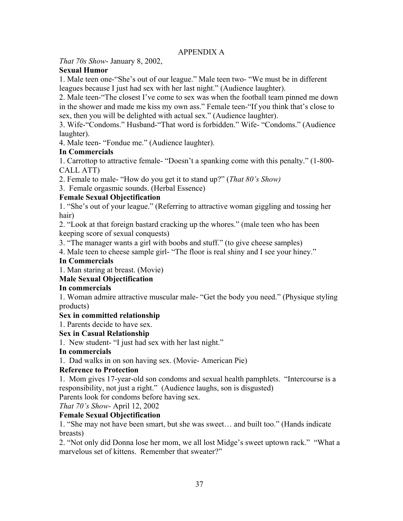## APPENDIX A

*That 70s Show*- January 8, 2002,

## **Sexual Humor**

1. Male teen one-"She's out of our league." Male teen two- "We must be in different leagues because I just had sex with her last night." (Audience laughter).

2. Male teen-"The closest I've come to sex was when the football team pinned me down in the shower and made me kiss my own ass." Female teen-"If you think that's close to sex, then you will be delighted with actual sex." (Audience laughter).

3. Wife-"Condoms." Husband-"That word is forbidden." Wife- "Condoms." (Audience laughter).

4. Male teen- "Fondue me." (Audience laughter).

# **In Commercials**

1. Carrottop to attractive female- "Doesn't a spanking come with this penalty." (1-800- CALL ATT)

2. Female to male- "How do you get it to stand up?" (*That 80's Show)*

3. Female orgasmic sounds. (Herbal Essence)

## **Female Sexual Objectification**

1. "She's out of your league." (Referring to attractive woman giggling and tossing her hair)

2. "Look at that foreign bastard cracking up the whores." (male teen who has been keeping score of sexual conquests)

3. "The manager wants a girl with boobs and stuff." (to give cheese samples)

4. Male teen to cheese sample girl- "The floor is real shiny and I see your hiney."

## **In Commercials**

1. Man staring at breast. (Movie)

## **Male Sexual Objectification**

### **In commercials**

1. Woman admire attractive muscular male- "Get the body you need." (Physique styling products)

### **Sex in committed relationship**

1. Parents decide to have sex.

### **Sex in Casual Relationship**

1. New student- "I just had sex with her last night."

### **In commercials**

1. Dad walks in on son having sex. (Movie- American Pie)

### **Reference to Protection**

1. Mom gives 17-year-old son condoms and sexual health pamphlets. "Intercourse is a responsibility, not just a right." (Audience laughs, son is disgusted)

Parents look for condoms before having sex.

*That 70's Show-* April 12, 2002

# **Female Sexual Objectification**

1. "She may not have been smart, but she was sweet… and built too." (Hands indicate breasts)

2. "Not only did Donna lose her mom, we all lost Midge's sweet uptown rack." "What a marvelous set of kittens. Remember that sweater?"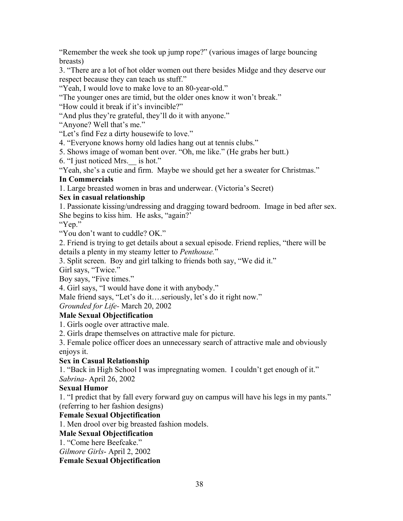"Remember the week she took up jump rope?" (various images of large bouncing breasts)

3. "There are a lot of hot older women out there besides Midge and they deserve our respect because they can teach us stuff."

"Yeah, I would love to make love to an 80-year-old."

"The younger ones are timid, but the older ones know it won't break."

"How could it break if it's invincible?"

"And plus they're grateful, they'll do it with anyone."

"Anyone? Well that's me."

"Let's find Fez a dirty housewife to love."

4. "Everyone knows horny old ladies hang out at tennis clubs."

5. Shows image of woman bent over. "Oh, me like." (He grabs her butt.)

6. "I just noticed Mrs.\_\_ is hot."

"Yeah, she's a cutie and firm. Maybe we should get her a sweater for Christmas."

## **In Commercials**

1. Large breasted women in bras and underwear. (Victoria's Secret)

## **Sex in casual relationship**

1. Passionate kissing/undressing and dragging toward bedroom. Image in bed after sex. She begins to kiss him. He asks, "again?'

"Yep."

"You don't want to cuddle? OK."

2. Friend is trying to get details about a sexual episode. Friend replies, "there will be details a plenty in my steamy letter to *Penthouse.*"

3. Split screen. Boy and girl talking to friends both say, "We did it."

Girl says, "Twice."

Boy says, "Five times."

4. Girl says, "I would have done it with anybody."

Male friend says, "Let's do it….seriously, let's do it right now."

*Grounded for Life-* March 20, 2002

# **Male Sexual Objectification**

1. Girls oogle over attractive male.

2. Girls drape themselves on attractive male for picture.

3. Female police officer does an unnecessary search of attractive male and obviously enjoys it.

# **Sex in Casual Relationship**

1. "Back in High School I was impregnating women. I couldn't get enough of it." *Sabrina-* April 26, 2002

# **Sexual Humor**

1. "I predict that by fall every forward guy on campus will have his legs in my pants." (referring to her fashion designs)

# **Female Sexual Objectification**

1. Men drool over big breasted fashion models.

### **Male Sexual Objectification**

1. "Come here Beefcake."

*Gilmore Girls*- April 2, 2002

**Female Sexual Objectification**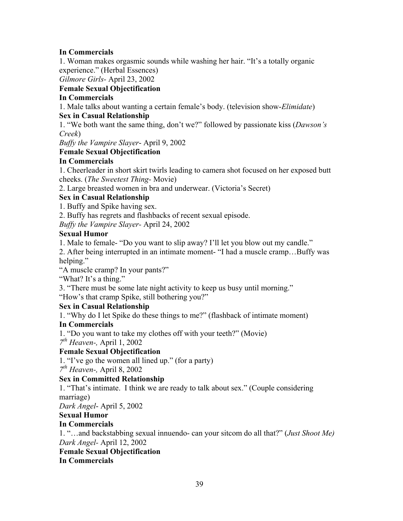## **In Commercials**

1. Woman makes orgasmic sounds while washing her hair. "It's a totally organic experience." (Herbal Essences)

*Gilmore Girls-* April 23, 2002

## **Female Sexual Objectification**

## **In Commercials**

1. Male talks about wanting a certain female's body. (television show-*Elimidate*) **Sex in Casual Relationship** 

1. "We both want the same thing, don't we?" followed by passionate kiss (*Dawson's Creek*)

*Buffy the Vampire Slayer*- April 9, 2002

## **Female Sexual Objectification**

## **In Commercials**

1. Cheerleader in short skirt twirls leading to camera shot focused on her exposed butt cheeks. (*The Sweetest Thing-* Movie)

2. Large breasted women in bra and underwear. (Victoria's Secret)

## **Sex in Casual Relationship**

1. Buffy and Spike having sex.

2. Buffy has regrets and flashbacks of recent sexual episode.

*Buffy the Vampire Slayer-* April 24, 2002

## **Sexual Humor**

1. Male to female- "Do you want to slip away? I'll let you blow out my candle."

2. After being interrupted in an intimate moment- "I had a muscle cramp…Buffy was helping."

"A muscle cramp? In your pants?"

"What? It's a thing."

3. "There must be some late night activity to keep us busy until morning."

"How's that cramp Spike, still bothering you?"

### **Sex in Casual Relationship**

1. "Why do I let Spike do these things to me?" (flashback of intimate moment)

# **In Commercials**

1. "Do you want to take my clothes off with your teeth?" (Movie)

*7th Heaven-,* April 1, 2002

# **Female Sexual Objectification**

1. "I've go the women all lined up." (for a party)

*7th Heaven-,* April 8, 2002

# **Sex in Committed Relationship**

1. "That's intimate. I think we are ready to talk about sex." (Couple considering marriage)

*Dark Angel*- April 5, 2002

### **Sexual Humor**

# **In Commercials**

1. "…and backstabbing sexual innuendo- can your sitcom do all that?" (*Just Shoot Me) Dark Angel-* April 12, 2002

### **Female Sexual Objectification**

**In Commercials**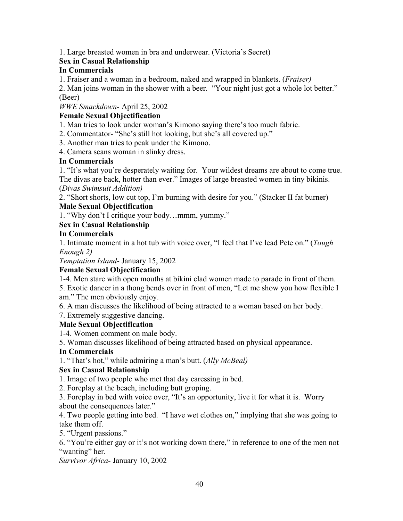1. Large breasted women in bra and underwear. (Victoria's Secret)

# **Sex in Casual Relationship**

## **In Commercials**

1. Fraiser and a woman in a bedroom, naked and wrapped in blankets. (*Fraiser)*

2. Man joins woman in the shower with a beer. "Your night just got a whole lot better." (Beer)

*WWE Smackdown-* April 25, 2002

## **Female Sexual Objectification**

1. Man tries to look under woman's Kimono saying there's too much fabric.

2. Commentator- "She's still hot looking, but she's all covered up."

3. Another man tries to peak under the Kimono.

4. Camera scans woman in slinky dress.

## **In Commercials**

1. "It's what you're desperately waiting for. Your wildest dreams are about to come true. The divas are back, hotter than ever." Images of large breasted women in tiny bikinis.

(*Divas Swimsuit Addition)*

2. "Short shorts, low cut top, I'm burning with desire for you." (Stacker II fat burner)

# **Male Sexual Objectification**

1. "Why don't I critique your body…mmm, yummy."

# **Sex in Casual Relationship**

## **In Commercials**

1. Intimate moment in a hot tub with voice over, "I feel that I've lead Pete on." (*Tough Enough 2)*

*Temptation Island*- January 15, 2002

# **Female Sexual Objectification**

1-4. Men stare with open mouths at bikini clad women made to parade in front of them.

5. Exotic dancer in a thong bends over in front of men, "Let me show you how flexible I am." The men obviously enjoy.

6. A man discusses the likelihood of being attracted to a woman based on her body.

7. Extremely suggestive dancing.

# **Male Sexual Objectification**

1-4. Women comment on male body.

5. Woman discusses likelihood of being attracted based on physical appearance.

# **In Commercials**

1. "That's hot," while admiring a man's butt. (*Ally McBeal)*

# **Sex in Casual Relationship**

1. Image of two people who met that day caressing in bed.

2. Foreplay at the beach, including butt groping.

3. Foreplay in bed with voice over, "It's an opportunity, live it for what it is. Worry about the consequences later."

4. Two people getting into bed. "I have wet clothes on," implying that she was going to take them off.

5. "Urgent passions."

6. "You're either gay or it's not working down there," in reference to one of the men not "wanting" her.

*Survivor Africa-* January 10, 2002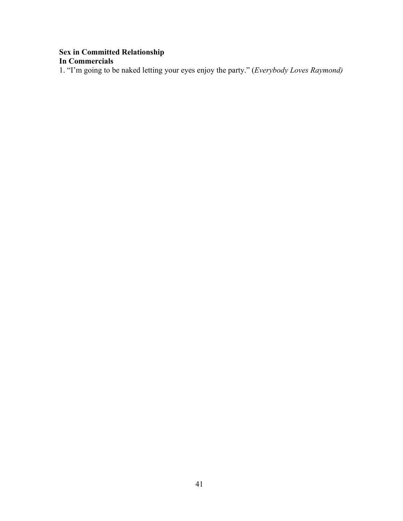## **Sex in Committed Relationship In Commercials**

1. "I'm going to be naked letting your eyes enjoy the party." (*Everybody Loves Raymond)*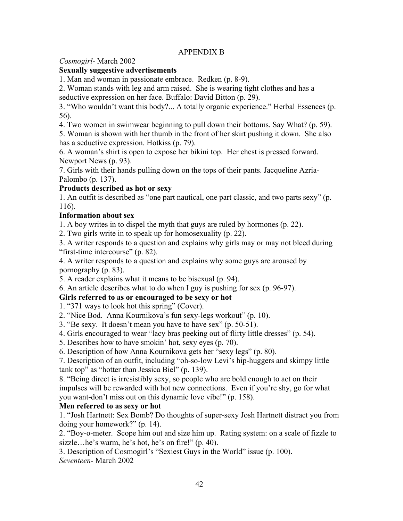### APPENDIX B

*Cosmogirl*- March 2002

### **Sexually suggestive advertisements**

1. Man and woman in passionate embrace. Redken (p. 8-9).

2. Woman stands with leg and arm raised. She is wearing tight clothes and has a seductive expression on her face. Buffalo: David Bitton (p. 29).

3. "Who wouldn't want this body?... A totally organic experience." Herbal Essences (p. 56).

4. Two women in swimwear beginning to pull down their bottoms. Say What? (p. 59).

5. Woman is shown with her thumb in the front of her skirt pushing it down. She also has a seductive expression. Hotkiss (p. 79).

6. A woman's shirt is open to expose her bikini top. Her chest is pressed forward. Newport News (p. 93).

7. Girls with their hands pulling down on the tops of their pants. Jacqueline Azria-Palombo (p. 137).

## **Products described as hot or sexy**

1. An outfit is described as "one part nautical, one part classic, and two parts sexy" (p. 116).

## **Information about sex**

1. A boy writes in to dispel the myth that guys are ruled by hormones (p. 22).

2. Two girls write in to speak up for homosexuality (p. 22).

3. A writer responds to a question and explains why girls may or may not bleed during "first-time intercourse" (p. 82).

4. A writer responds to a question and explains why some guys are aroused by pornography (p. 83).

5. A reader explains what it means to be bisexual (p. 94).

6. An article describes what to do when I guy is pushing for sex (p. 96-97).

# **Girls referred to as or encouraged to be sexy or hot**

1. "371 ways to look hot this spring" (Cover).

2. "Nice Bod. Anna Kournikova's fun sexy-legs workout" (p. 10).

3. "Be sexy. It doesn't mean you have to have sex" (p. 50-51).

4. Girls encouraged to wear "lacy bras peeking out of flirty little dresses" (p. 54).

5. Describes how to have smokin' hot, sexy eyes (p. 70).

6. Description of how Anna Kournikova gets her "sexy legs" (p. 80).

7. Description of an outfit, including "oh-so-low Levi's hip-huggers and skimpy little tank top" as "hotter than Jessica Biel" (p. 139).

8. "Being direct is irresistibly sexy, so people who are bold enough to act on their impulses will be rewarded with hot new connections. Even if you're shy, go for what you want-don't miss out on this dynamic love vibe!" (p. 158).

### **Men referred to as sexy or hot**

1. "Josh Hartnett: Sex Bomb? Do thoughts of super-sexy Josh Hartnett distract you from doing your homework?" (p. 14).

2. "Boy-o-meter. Scope him out and size him up. Rating system: on a scale of fizzle to sizzle…he's warm, he's hot, he's on fire!" (p. 40).

3. Description of Cosmogirl's "Sexiest Guys in the World" issue (p. 100). *Seventeen*- March 2002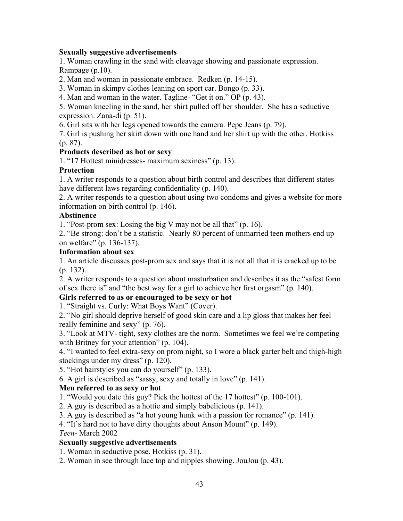#### **Sexually suggestive advertisements**

1. Woman crawling in the sand with cleavage showing and passionate expression. Rampage (p.10).

2. Man and woman in passionate embrace. Redken (p. 14-15).

3. Woman in skimpy clothes leaning on sport car. Bongo (p. 33).

4. Man and woman in the water. Tagline- "Get it on." OP (p. 43).

5. Woman kneeling in the sand, her shirt pulled off her shoulder. She has a seductive expression. Zana-di (p. 51).

6. Girl sits with her legs opened towards the camera. Pepe Jeans (p. 79).

7. Girl is pushing her skirt down with one hand and her shirt up with the other. Hotkiss (p. 87).

#### **Products described as hot or sexy**

1. "17 Hottest minidresses- maximum sexiness" (p. 13).

#### **Protection**

1. A writer responds to a question about birth control and describes that different states have different laws regarding confidentiality (p. 140).

2. A writer responds to a question about using two condoms and gives a website for more information on birth control (p. 146).

#### **Abstinence**

1. "Post-prom sex: Losing the big V may not be all that" (p. 16).

2. "Be strong: don't be a statistic. Nearly 80 percent of unmarried teen mothers end up on welfare" (p. 136-137).

#### **Information about sex**

1. An article discusses post-prom sex and says that it is not all that it is cracked up to be (p. 132).

2. A writer responds to a question about masturbation and describes it as the "safest form of sex there is" and "the best way for a girl to achieve her first orgasm" (p. 140).

### **Girls referred to as or encouraged to be sexy or hot**

1. "Straight vs. Curly: What Boys Want" (Cover).

2. "No girl should deprive herself of good skin care and a lip gloss that makes her feel really feminine and sexy" (p. 76).

3. "Look at MTV- tight, sexy clothes are the norm. Sometimes we feel we're competing with Britney for your attention" (p. 104).

4. "I wanted to feel extra-sexy on prom night, so I wore a black garter belt and thigh-high stockings under my dress" (p. 120).

5. "Hot hairstyles you can do yourself" (p. 133).

6. A girl is described as "sassy, sexy and totally in love" (p. 141).

### **Men referred to as sexy or hot**

1. "Would you date this guy? Pick the hottest of the 17 hottest" (p. 100-101).

2. A guy is described as a hottie and simply babelicious (p. 141).

3. A guy is described as "a hot young hunk with a passion for romance" (p. 141).

4. "It's hard not to have dirty thoughts about Anson Mount" (p. 149).

#### *Teen*- March 2002

### **Sexually suggestive advertisements**

1. Woman in seductive pose. Hotkiss (p. 31).

2. Woman in see through lace top and nipples showing. JouJou (p. 43).